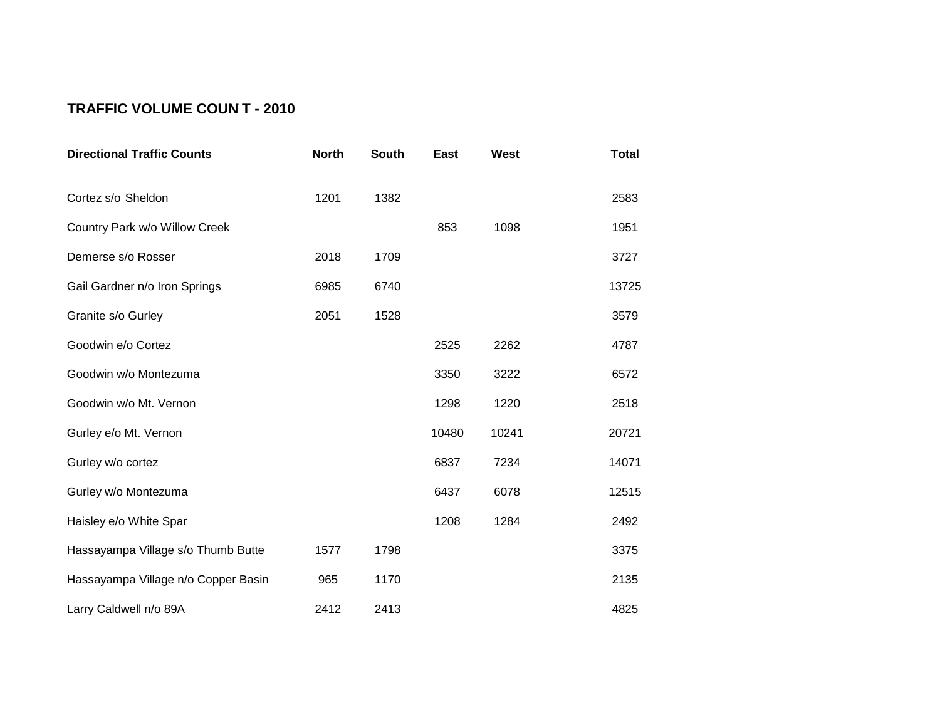## **TRAFFIC VOLUME COUN T - 2010**

| <b>Directional Traffic Counts</b>   | <b>North</b> | <b>South</b> | <b>East</b> | West  | <b>Total</b> |
|-------------------------------------|--------------|--------------|-------------|-------|--------------|
|                                     |              |              |             |       |              |
| Cortez s/o Sheldon                  | 1201         | 1382         |             |       | 2583         |
| Country Park w/o Willow Creek       |              |              | 853         | 1098  | 1951         |
| Demerse s/o Rosser                  | 2018         | 1709         |             |       | 3727         |
| Gail Gardner n/o Iron Springs       | 6985         | 6740         |             |       | 13725        |
| Granite s/o Gurley                  | 2051         | 1528         |             |       | 3579         |
| Goodwin e/o Cortez                  |              |              | 2525        | 2262  | 4787         |
| Goodwin w/o Montezuma               |              |              | 3350        | 3222  | 6572         |
| Goodwin w/o Mt. Vernon              |              |              | 1298        | 1220  | 2518         |
| Gurley e/o Mt. Vernon               |              |              | 10480       | 10241 | 20721        |
| Gurley w/o cortez                   |              |              | 6837        | 7234  | 14071        |
| Gurley w/o Montezuma                |              |              | 6437        | 6078  | 12515        |
| Haisley e/o White Spar              |              |              | 1208        | 1284  | 2492         |
| Hassayampa Village s/o Thumb Butte  | 1577         | 1798         |             |       | 3375         |
| Hassayampa Village n/o Copper Basin | 965          | 1170         |             |       | 2135         |
| Larry Caldwell n/o 89A              | 2412         | 2413         |             |       | 4825         |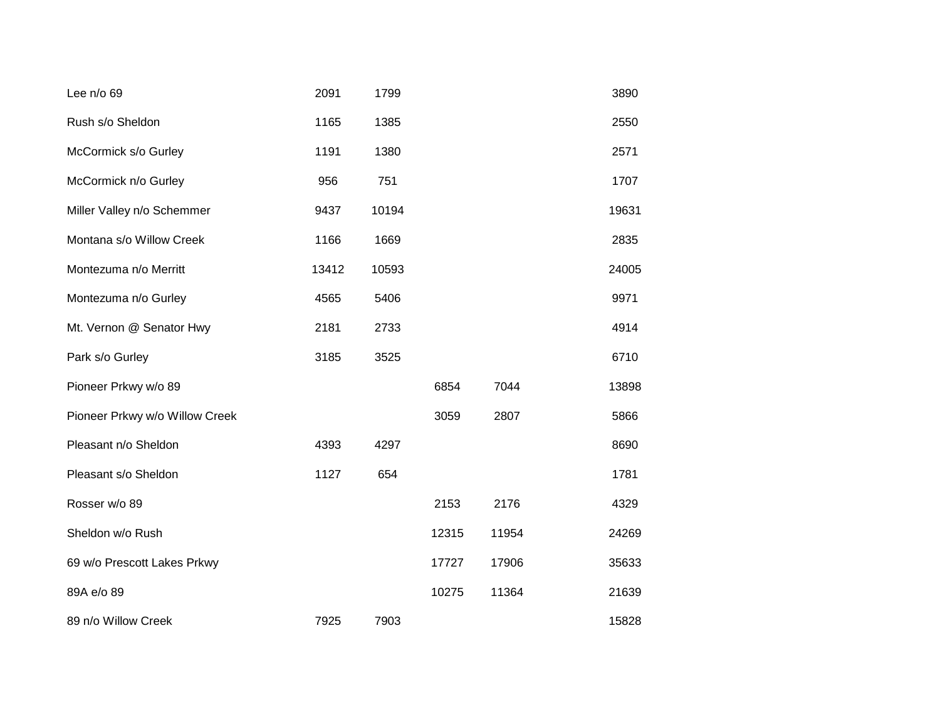| Lee n/o 69                     | 2091  | 1799  |       |       | 3890  |
|--------------------------------|-------|-------|-------|-------|-------|
| Rush s/o Sheldon               | 1165  | 1385  |       |       | 2550  |
| McCormick s/o Gurley           | 1191  | 1380  |       |       | 2571  |
| McCormick n/o Gurley           | 956   | 751   |       |       | 1707  |
| Miller Valley n/o Schemmer     | 9437  | 10194 |       |       | 19631 |
| Montana s/o Willow Creek       | 1166  | 1669  |       |       | 2835  |
| Montezuma n/o Merritt          | 13412 | 10593 |       |       | 24005 |
| Montezuma n/o Gurley           | 4565  | 5406  |       |       | 9971  |
| Mt. Vernon @ Senator Hwy       | 2181  | 2733  |       |       | 4914  |
| Park s/o Gurley                | 3185  | 3525  |       |       | 6710  |
| Pioneer Prkwy w/o 89           |       |       | 6854  | 7044  | 13898 |
| Pioneer Prkwy w/o Willow Creek |       |       | 3059  | 2807  | 5866  |
| Pleasant n/o Sheldon           | 4393  | 4297  |       |       | 8690  |
| Pleasant s/o Sheldon           | 1127  | 654   |       |       | 1781  |
| Rosser w/o 89                  |       |       | 2153  | 2176  | 4329  |
| Sheldon w/o Rush               |       |       | 12315 | 11954 | 24269 |
| 69 w/o Prescott Lakes Prkwy    |       |       | 17727 | 17906 | 35633 |
| 89A e/o 89                     |       |       | 10275 | 11364 | 21639 |
| 89 n/o Willow Creek            | 7925  | 7903  |       |       | 15828 |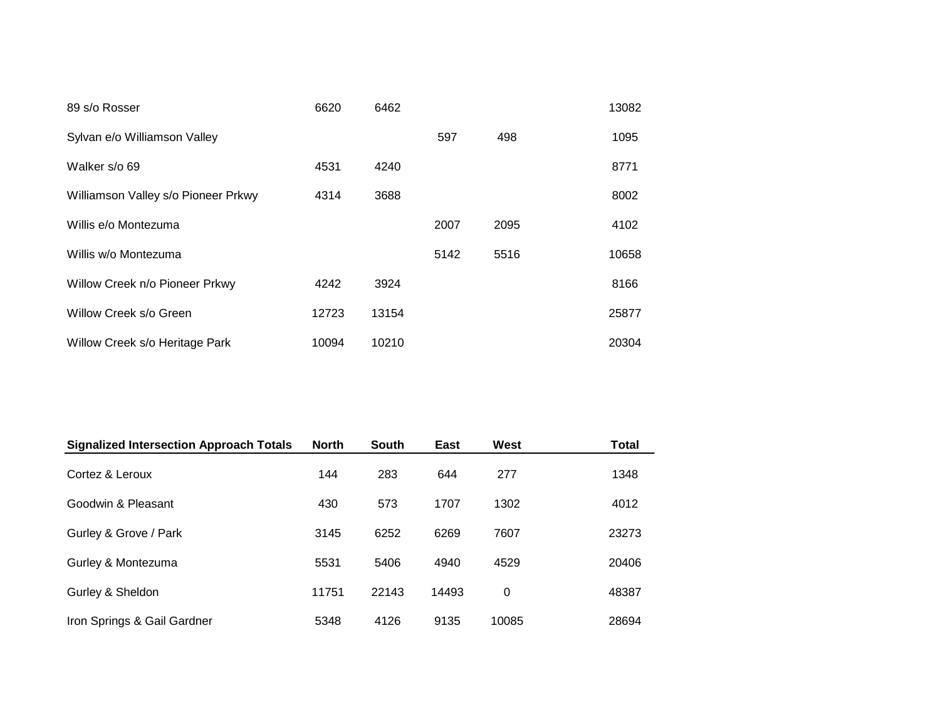| 89 s/o Rosser                       | 6620  | 6462  |      |      | 13082 |
|-------------------------------------|-------|-------|------|------|-------|
| Sylvan e/o Williamson Valley        |       |       | 597  | 498  | 1095  |
| Walker s/o 69                       | 4531  | 4240  |      |      | 8771  |
| Williamson Valley s/o Pioneer Prkwy | 4314  | 3688  |      |      | 8002  |
| Willis e/o Montezuma                |       |       | 2007 | 2095 | 4102  |
| Willis w/o Montezuma                |       |       | 5142 | 5516 | 10658 |
| Willow Creek n/o Pioneer Prkwy      | 4242  | 3924  |      |      | 8166  |
| Willow Creek s/o Green              | 12723 | 13154 |      |      | 25877 |
| Willow Creek s/o Heritage Park      | 10094 | 10210 |      |      | 20304 |

| <b>Signalized Intersection Approach Totals</b> | <b>North</b> | <b>South</b> | East  | West  | <b>Total</b> |
|------------------------------------------------|--------------|--------------|-------|-------|--------------|
| Cortez & Leroux                                | 144          | 283          | 644   | 277   | 1348         |
| Goodwin & Pleasant                             | 430          | 573          | 1707  | 1302  | 4012         |
| Gurley & Grove / Park                          | 3145         | 6252         | 6269  | 7607  | 23273        |
| Gurley & Montezuma                             | 5531         | 5406         | 4940  | 4529  | 20406        |
| Gurley & Sheldon                               | 11751        | 22143        | 14493 | 0     | 48387        |
| Iron Springs & Gail Gardner                    | 5348         | 4126         | 9135  | 10085 | 28694        |